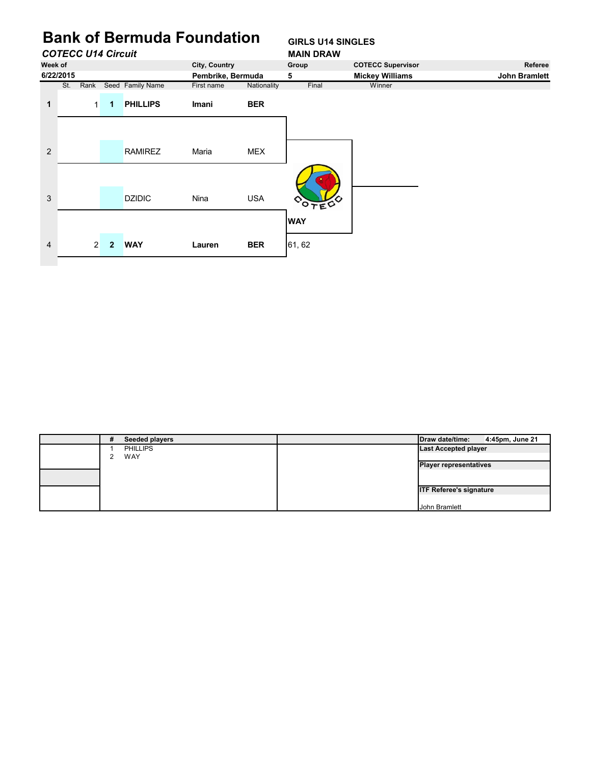# **Bank of Bermuda Foundation GIRLS U14 SINGLES**

|                |           | <b>COTECC U14 Circuit</b> |                |                  |                   |             | <b>MAIN DRAW</b> |                          |                      |
|----------------|-----------|---------------------------|----------------|------------------|-------------------|-------------|------------------|--------------------------|----------------------|
| Week of        |           |                           |                |                  | City, Country     |             | Group            | <b>COTECC Supervisor</b> | Referee              |
|                | 6/22/2015 |                           |                |                  | Pembrike, Bermuda |             | 5                | <b>Mickey Williams</b>   | <b>John Bramlett</b> |
|                | St.       | Rank                      |                | Seed Family Name | First name        | Nationality | Final            | Winner                   |                      |
| 1              |           | $\mathbf{1}$              | $\mathbf 1$    | <b>PHILLIPS</b>  | Imani             | <b>BER</b>  |                  |                          |                      |
|                |           |                           |                |                  |                   |             |                  |                          |                      |
| $\overline{2}$ |           |                           |                | <b>RAMIREZ</b>   | Maria             | <b>MEX</b>  |                  |                          |                      |
| 3              |           |                           |                | <b>DZIDIC</b>    | Nina              | <b>USA</b>  | <b>ODTEC</b>     |                          |                      |
|                |           |                           |                |                  |                   |             | <b>WAY</b>       |                          |                      |
| $\overline{4}$ |           | 2 <sup>1</sup>            | $\overline{2}$ | <b>WAY</b>       | Lauren            | <b>BER</b>  | 61, 62           |                          |                      |
|                |           |                           |                |                  |                   |             |                  |                          |                      |

| # | Seeded players  | Draw date/time:                | 4:45pm, June 21 |
|---|-----------------|--------------------------------|-----------------|
|   | <b>PHILLIPS</b> | <b>Last Accepted player</b>    |                 |
|   | WAY             |                                |                 |
|   |                 | <b>Player representatives</b>  |                 |
|   |                 |                                |                 |
|   |                 |                                |                 |
|   |                 | <b>ITF Referee's signature</b> |                 |
|   |                 |                                |                 |
|   |                 | John Bramlett                  |                 |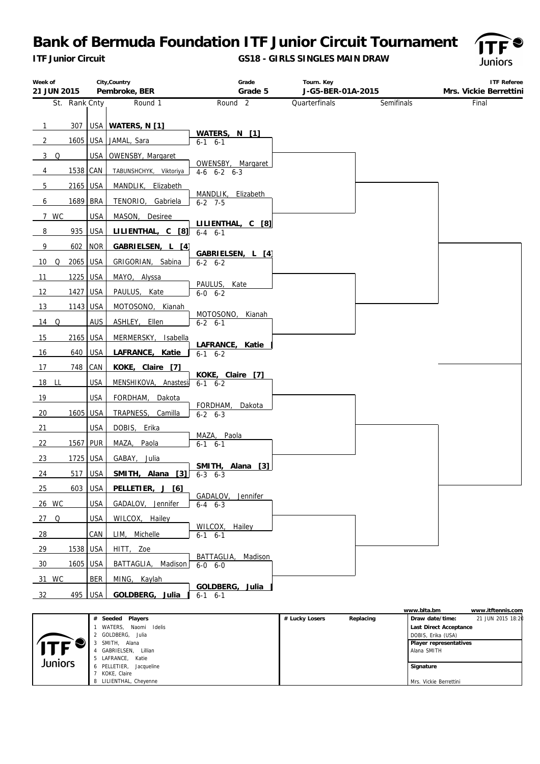*ITF Junior Circuit*

**GS18 - GIRLS SINGLES MAIN DRAW**



| Week of                 |            | City, Country          | Grade                                  | Tourn. Key        |            | <b>ITF Referee</b>     |
|-------------------------|------------|------------------------|----------------------------------------|-------------------|------------|------------------------|
| 21 JUN 2015             |            | Pembroke, BER          | Grade 5                                | J-G5-BER-01A-2015 |            | Mrs. Vickie Berrettini |
| St. Rank Cnty           |            | Round 1                | Round <sub>2</sub>                     | Quarterfinals     | Semifinals | Final                  |
| $307$  <br>$\mathbf{1}$ |            | USA WATERS, N [1]      |                                        |                   |            |                        |
| 1605<br>$\overline{2}$  | USA        | JAMAL, Sara            | WATERS, N [1]<br>$6-1$ $6-1$           |                   |            |                        |
| 3Q                      | USA        | OWENSBY, Margaret      |                                        |                   |            |                        |
| 1538 CAN<br>4           |            | TABUNSHCHYK, Viktoriya | OWENSBY, Margaret<br>$4-6$ $6-2$ $6-3$ |                   |            |                        |
| 5<br>2165 USA           |            | MANDLIK, Elizabeth     | MANDLIK,<br>Elizabeth                  |                   |            |                        |
| 1689<br>6               | <b>BRA</b> | TENORIO,<br>Gabriela   | $6-2$ 7-5                              |                   |            |                        |
| 7 WC                    | <b>USA</b> | MASON, Desiree         | LILIENTHAL, C [8]                      |                   |            |                        |
| 8<br>935                | <b>USA</b> | LILIENTHAL, C [8]      | $6 - 4$ $6 - 1$                        |                   |            |                        |
| 9<br>602                | <b>NOR</b> | GABRIELSEN, L [4]      | GABRIELSEN, L [4]                      |                   |            |                        |
| 2065<br>$\Omega$<br>10  | <b>USA</b> | GRIGORIAN, Sabina      | $6 - 2 6 - 2$                          |                   |            |                        |
| 11<br>1225 USA          |            | MAYO, Alyssa           | PAULUS, Kate                           |                   |            |                        |
| 12<br>1427              | <b>USA</b> | PAULUS, Kate           | $6-0$ $6-2$                            |                   |            |                        |
| 13<br>1143 USA          |            | MOTOSONO, Kianah       | MOTOSONO,<br>Kianah                    |                   |            |                        |
| $14$ Q                  | AUS        | ASHLEY, Ellen          | $6 - 2 6 - 1$                          |                   |            |                        |
| 15<br>2165              | <b>USA</b> | MERMERSKY, Isabella    | LAFRANCE, Katie                        |                   |            |                        |
| 640<br>16               | <b>USA</b> | LAFRANCE, Katie        | $6-1$ $6-2$                            |                   |            |                        |
| 17<br>748               | CAN        | KOKE, Claire [7]       | KOKE, Claire [7]                       |                   |            |                        |
| 18 LL                   | <b>USA</b> | MENSHIKOVA, Anastesi   | $6-1$ $6-2$                            |                   |            |                        |
| 19                      | <b>USA</b> | FORDHAM,<br>Dakota     | FORDHAM,<br>Dakota                     |                   |            |                        |
| 20<br>1605              | <b>USA</b> | TRAPNESS,<br>Camilla   | $6 - 2 6 - 3$                          |                   |            |                        |
| 21                      | <b>USA</b> | DOBIS, Erika           | MAZA, Paola                            |                   |            |                        |
| 22<br>1567              | <b>PUR</b> | Paola<br>MAZA,         | $6-1$ $6-1$                            |                   |            |                        |
| 23<br>1725              | <b>USA</b> | GABAY,<br>Julia        | SMITH, Alana [3]                       |                   |            |                        |
| 24<br>517               | <b>USA</b> | SMITH, Alana<br>[3]    | $6-3$ $6-3$                            |                   |            |                        |
| 25                      | 603 USA    | PELLETIER, J [6]       | GADALOV, Jennifer                      |                   |            |                        |
| 26 WC                   | <b>USA</b> | GADALOV, Jennifer      | $6 - 4$ $6 - 3$                        |                   |            |                        |
| 27 Q                    | USA        | WILCOX, Hailey         | WILCOX,<br>Hailey                      |                   |            |                        |
| 28                      | CAN        | LIM, Michelle          | $6 - 1$ $6 - 1$                        |                   |            |                        |
| 29<br>1538              | <b>USA</b> | HITT, Zoe              | BATTAGLIA,<br>Madison                  |                   |            |                        |
| 30<br>1605              | <b>USA</b> | BATTAGLIA, Madison     | $6-0$ $6-0$                            |                   |            |                        |
| 31 WC                   | <b>BER</b> | MING, Kaylah           | GOLDBERG,<br>Julia                     |                   |            |                        |
| 495<br>32               | <b>USA</b> | GOLDBERG, Julia        | $6-1$ $6-1$                            |                   |            |                        |

|         |                         |                |           | www.blta.bm            | www.itftennis.com |
|---------|-------------------------|----------------|-----------|------------------------|-------------------|
|         | # Seeded<br>Players     | # Lucky Losers | Replacing | Draw date/time:        | 21 JUN 2015 18:20 |
|         | Naomi Idelis<br>WATERS, |                |           | Last Direct Acceptance |                   |
|         | 2 GOLDBERG, Julia       |                |           | DOBIS, Erika (USA)     |                   |
|         | SMITH, Alana            |                |           | Player representatives |                   |
|         | Lillian<br>GABRIELSEN,  |                |           | Alana SMITH            |                   |
| Juniors | 5 LAFRANCE, Katie       |                |           |                        |                   |
|         | 6 PELLETIER, Jacqueline |                |           | Signature              |                   |
|         | KOKE, Claire            |                |           |                        |                   |
|         | 8 LILIENTHAL, Cheyenne  |                |           | Mrs. Vickie Berrettini |                   |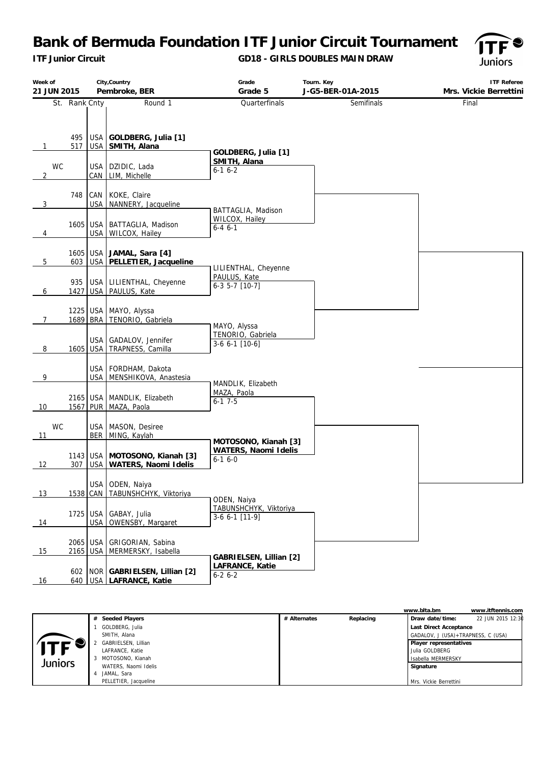*ITF Junior Circuit*

### **GD18 - GIRLS DOUBLES MAIN DRAW**



| Week of<br>21 JUN 2015 |                      |                          | City, Country<br>Pembroke, BER                              | Grade<br>Grade 5                                 | Tourn. Key<br>J-G5-BER-01A-2015 | <b>ITF Referee</b><br>Mrs. Vickie Berrettini |
|------------------------|----------------------|--------------------------|-------------------------------------------------------------|--------------------------------------------------|---------------------------------|----------------------------------------------|
|                        | St. Rank Cnty        |                          | Round 1                                                     | Quarterfinals                                    | Semifinals                      | Final                                        |
| $\mathbf{1}$           | 495<br>517           | <b>USA</b>               | GOLDBERG, Julia [1]<br>USA SMITH, Alana                     | GOLDBERG, Julia [1]                              |                                 |                                              |
| <b>WC</b><br>2         |                      | <b>USA</b><br>CAN        | DZIDIC, Lada<br>LIM, Michelle                               | SMITH, Alana<br>$6 - 16 - 2$                     |                                 |                                              |
| 3                      | 748                  | CAN                      | KOKE, Claire<br>USA NANNERY, Jacqueline                     |                                                  |                                 |                                              |
| 4                      | 1605 USA             | <b>USA</b>               | BATTAGLIA, Madison<br>WILCOX, Hailey                        | BATTAGLIA, Madison<br>WILCOX, Hailey<br>$6-46-1$ |                                 |                                              |
| 5                      | 1605 USA<br>603      |                          | JAMAL, Sara [4]<br>USA PELLETIER, Jacqueline                | LILIENTHAL, Cheyenne                             |                                 |                                              |
| 6                      | 935<br>1427          |                          | USA LILIENTHAL, Cheyenne<br>USA PAULUS, Kate                | PAULUS, Kate<br>$6-3$ 5-7 $[10-7]$               |                                 |                                              |
| 7                      | 1689 BRA             |                          | 1225 USA MAYO, Alyssa<br>TENORIO, Gabriela                  | MAYO, Alyssa                                     |                                 |                                              |
| 8                      | 1605                 | USA<br><b>USA</b>        | GADALOV, Jennifer<br>TRAPNESS, Camilla                      | TENORIO, Gabriela<br>3-6 6-1 [10-6]              |                                 |                                              |
| 9                      |                      |                          | USA   FORDHAM, Dakota<br>USA   MENSHIKOVA, Anastesia        | MANDLIK, Elizabeth                               |                                 |                                              |
| 10                     | 2165 USA             |                          | MANDLIK, Elizabeth<br>1567 PUR MAZA, Paola                  | MAZA, Paola<br>$6-17-5$                          |                                 |                                              |
| <b>WC</b><br>11        |                      | USA                      | MASON, Desiree<br>BER MING, Kaylah                          | MOTOSONO, Kianah [3]                             |                                 |                                              |
| 12                     | 307                  |                          | 1143 USA MOTOSONO, Kianah [3]<br>USA   WATERS, Naomi Idelis | WATERS, Naomi Idelis<br>$6 - 16 - 0$             |                                 |                                              |
| 13                     |                      |                          | USA ODEN, Naiya<br>1538 CAN   TABUNSHCHYK, Viktoriya        | ODEN, Naiya                                      |                                 |                                              |
| 14                     | 1725                 | <b>USA</b><br><b>USA</b> | GABAY, Julia<br>OWENSBY, Margaret                           | TABUNSHCHYK, Viktoriya<br>$3-6$ 6-1 [11-9]       |                                 |                                              |
| 15                     | 2065 USA<br>2165 USA |                          | GRIGORIAN, Sabina<br>MERMERSKY, Isabella                    | GABRIELSEN, Lillian [2]                          |                                 |                                              |
| 16                     | 640                  |                          | 602   NOR   GABRIELSEN, Lillian [2]<br>USA LAFRANCE, Katie  | LAFRANCE, Katie<br>$6-26-2$                      |                                 |                                              |

|         |                       |              |           | www.blta.bm                        | www.itftennis.com |
|---------|-----------------------|--------------|-----------|------------------------------------|-------------------|
|         | # Seeded Players      | # Alternates | Replacing | Draw date/time:                    | 22 JUN 2015 12:30 |
|         | GOLDBERG, Julia       |              |           | Last Direct Acceptance             |                   |
|         | SMITH, Alana          |              |           | GADALOV, J (USA)+TRAPNESS, C (USA) |                   |
|         | GABRIELSEN, Lillian   |              |           | Player representatives             |                   |
| ITF     | LAFRANCE, Katie       |              |           | l Julia GOLDBERG                   |                   |
| Juniors | 3 MOTOSONO, Kianah    |              |           | I Isabella MERMERSKY               |                   |
|         | WATERS, Naomi Idelis  |              |           | Signature                          |                   |
|         | JAMAL, Sara           |              |           |                                    |                   |
|         | PELLETIER, Jacqueline |              |           | Mrs. Vickie Berrettini             |                   |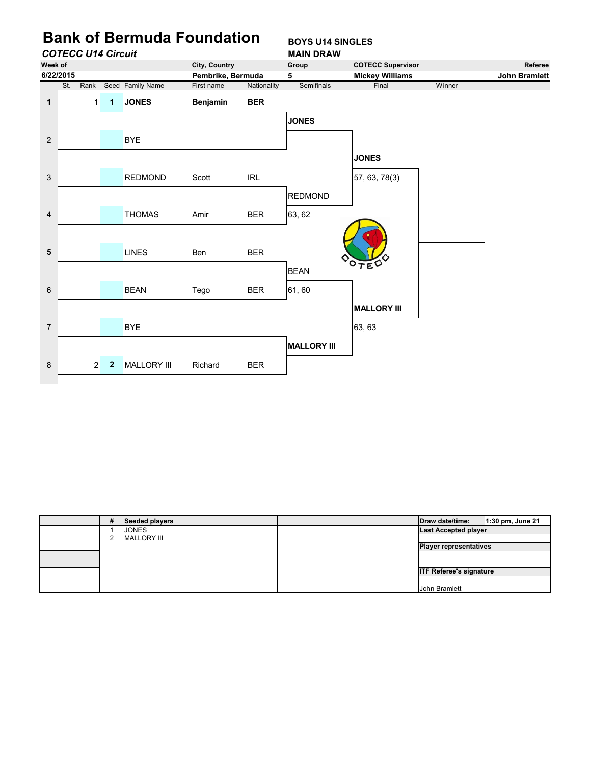

| # | Seeded players     | Draw date/time:                | 1:30 pm, June 21 |
|---|--------------------|--------------------------------|------------------|
|   | <b>JONES</b>       | <b>Last Accepted player</b>    |                  |
|   | <b>MALLORY III</b> |                                |                  |
|   |                    | <b>Player representatives</b>  |                  |
|   |                    |                                |                  |
|   |                    | <b>ITF Referee's signature</b> |                  |
|   |                    |                                |                  |
|   |                    | John Bramlett                  |                  |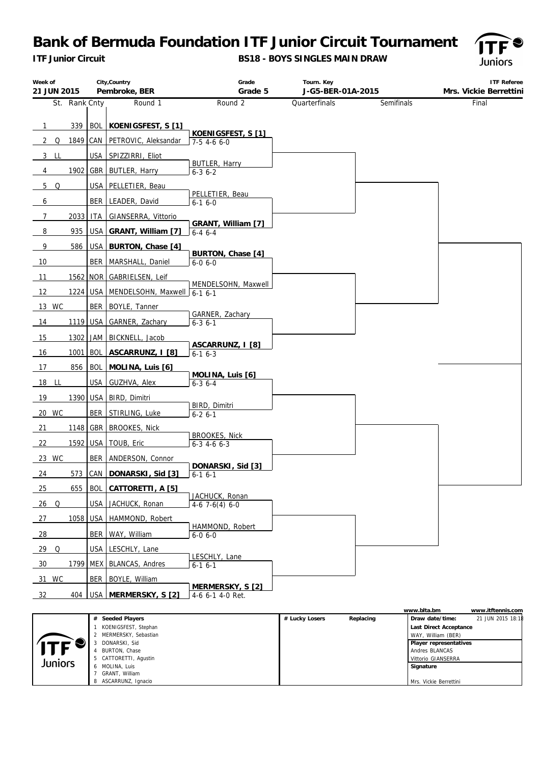*ITF Junior Circuit*

**BS18 - BOYS SINGLES MAIN DRAW**



| Week of<br>21 JUN 2015 |          | City, Country<br>Pembroke, BER                                                        | Grade<br>Grade 5                         | Tourn. Key<br>J-G5-BER-01A-2015 |            | ITF Referee<br>Mrs. Vickie Berrettini |
|------------------------|----------|---------------------------------------------------------------------------------------|------------------------------------------|---------------------------------|------------|---------------------------------------|
| St. Rank Cnty          |          | Round 1                                                                               | Round 2                                  | Quarterfinals                   | Semifinals | Final                                 |
|                        |          |                                                                                       |                                          |                                 |            |                                       |
| 339<br>$\mathbf{1}$    |          | BOL KOENIGSFEST, S [1]                                                                |                                          |                                 |            |                                       |
| Q<br>2                 |          | 1849 CAN PETROVIC, Aleksandar                                                         | KOENIGSFEST, S [1]<br>$7-5$ 4-6 6-0      |                                 |            |                                       |
| $3$ LL                 |          | USA SPIZZIRRI, Eliot                                                                  |                                          |                                 |            |                                       |
| 4                      |          | 1902 GBR BUTLER, Harry                                                                | BUTLER, Harry<br>$6 - 36 - 2$            |                                 |            |                                       |
| 5 Q                    |          | USA   PELLETIER, Beau                                                                 |                                          |                                 |            |                                       |
| 6                      | BER      | LEADER, David                                                                         | PELLETIER, Beau<br>$6-16-0$              |                                 |            |                                       |
| 7<br>2033              | ITA I    | GIANSERRA, Vittorio                                                                   |                                          |                                 |            |                                       |
| 8<br>935               |          | USA GRANT, William [7]                                                                | GRANT, William [7]<br>$6-4$ 6-4          |                                 |            |                                       |
| 9<br>586               |          | USA BURTON, Chase [4]                                                                 |                                          |                                 |            |                                       |
| 10                     |          | BER   MARSHALL, Daniel                                                                | BURTON, Chase [4]<br>$6 - 0 6 - 0$       |                                 |            |                                       |
| 11                     |          | 1562 NOR GABRIELSEN, Leif                                                             |                                          |                                 |            |                                       |
| 12                     |          | 1224 USA MENDELSOHN, Maxwell $\begin{array}{ c c c c c }\hline 6-1 & 6-1 \end{array}$ | MENDELSOHN, Maxwell                      |                                 |            |                                       |
| 13 WC                  |          | BER BOYLE, Tanner                                                                     |                                          |                                 |            |                                       |
| 14                     | 1119 USA | GARNER, Zachary                                                                       | GARNER, Zachary<br>$6 - 3$ $6 - 1$       |                                 |            |                                       |
| 15<br>1302             |          | JAM   BICKNELL, Jacob                                                                 |                                          |                                 |            |                                       |
| 16<br>1001             |          | BOL ASCARRUNZ, I [8]                                                                  | ASCARRUNZ, I [8]<br>$6-16-3$             |                                 |            |                                       |
| 856<br>17              |          | BOL MOLINA, Luis [6]                                                                  |                                          |                                 |            |                                       |
| 18 LL                  | USA      | GUZHVA, Alex                                                                          | MOLINA, Luis [6]<br>$6 - 36 - 4$         |                                 |            |                                       |
| 19                     |          | 1390   USA   BIRD, Dimitri                                                            |                                          |                                 |            |                                       |
| 20 WC                  |          | BER STIRLING, Luke                                                                    | BIRD, Dimitri<br>$6 - 26 - 1$            |                                 |            |                                       |
| 21                     |          | 1148 GBR BROOKES, Nick                                                                |                                          |                                 |            |                                       |
| 22                     | 1592 USA | TOUB, Eric                                                                            | <b>BROOKES, Nick</b><br>$6-3$ 4-6 $6-3$  |                                 |            |                                       |
| 23 WC                  |          | BER   ANDERSON, Connor                                                                |                                          |                                 |            |                                       |
| 24<br>573              | CAN      | DONARSKI, Sid [3]                                                                     | DONARSKI, Sid [3]<br>$6-16-1$            |                                 |            |                                       |
| 25                     |          | 655 BOL CATTORETTI, A [5]                                                             |                                          |                                 |            |                                       |
| $26$ Q                 |          | USA JACHUCK, Ronan                                                                    | JACHUCK, Ronan<br>$4-6$ 7 $-6(4)$ 6 $-0$ |                                 |            |                                       |
| 1058<br><u>27</u>      | USA      | HAMMOND, Robert                                                                       |                                          |                                 |            |                                       |
| 28                     | BER      | WAY, William                                                                          | HAMMOND, Robert<br>$6 - 0 6 - 0$         |                                 |            |                                       |
| 29 Q                   | USA      | LESCHLY, Lane                                                                         |                                          |                                 |            |                                       |
| 30                     |          | 1799 MEX BLANCAS, Andres                                                              | LESCHLY, Lane<br>$6 - 16 - 1$            |                                 |            |                                       |
| 31 WC                  | BER      | BOYLE, William                                                                        |                                          |                                 |            |                                       |
| 404<br>$rac{32}{1}$    |          | USA   MERMERSKY, S [2]                                                                | MERMERSKY, S [2]<br>4-6 6-1 4-0 Ret.     |                                 |            |                                       |
|                        |          |                                                                                       |                                          |                                 |            |                                       |

|         |                        |                |           | www.blta.bm            | www.itftennis.com |
|---------|------------------------|----------------|-----------|------------------------|-------------------|
|         | # Seeded Players       | # Lucky Losers | Replacing | Draw date/time:        | 21 JUN 2015 18:18 |
|         | KOENIGSFEST, Stephan   |                |           | Last Direct Acceptance |                   |
|         | 2 MERMERSKY, Sebastian |                |           | WAY, William (BER)     |                   |
|         | DONARSKI, Sid          |                |           | Player representatives |                   |
|         | BURTON, Chase          |                |           | Andres BLANCAS         |                   |
| Juniors | 5 CATTORETTI, Agustin  |                |           | Vittorio GIANSERRA     |                   |
|         | MOLINA, Luis           |                |           | Signature              |                   |
|         | GRANT. William         |                |           |                        |                   |
|         | ASCARRUNZ, Ignacio     |                |           | Mrs. Vickie Berrettini |                   |